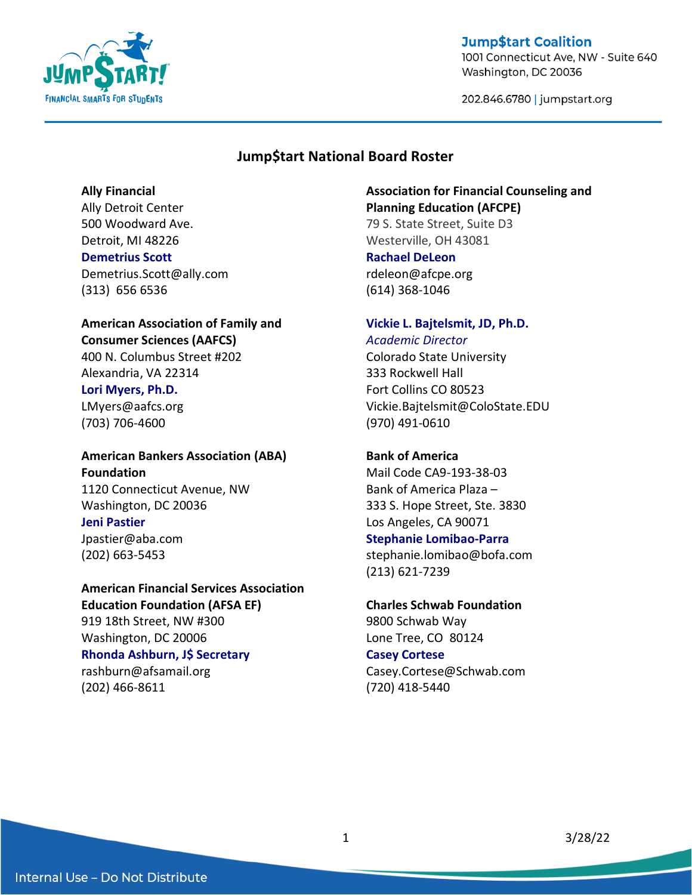

1001 Connecticut Ave, NW - Suite 640 Washington, DC 20036

202.846.6780 | jumpstart.org

## **Jump\$tart National Board Roster**

#### **Ally Financial**

Ally Detroit Center 500 Woodward Ave. Detroit, MI 48226 **Demetrius Scott** Demetrius.Scott@ally.com (313) 656 6536

# **American Association of Family and**

**Consumer Sciences (AAFCS)** 400 N. Columbus Street #202 Alexandria, VA 22314

# **Lori Myers, Ph.D.**

LMyers@aafcs.org (703) 706-4600

# **American Bankers Association (ABA) Foundation** 1120 Connecticut Avenue, NW Washington, DC 20036 **Jeni Pastier**

Jpastier@aba.com (202) 663-5453

# **American Financial Services Association Education Foundation (AFSA EF)** 919 18th Street, NW #300 Washington, DC 20006

# **Rhonda Ashburn, J\$ Secretary**

rashburn@afsamail.org (202) 466-8611

## **Association for Financial Counseling and Planning Education (AFCPE)**

79 S. State Street, Suite D3 Westerville, OH 43081

# **Rachael DeLeon**

rdeleon@afcpe.org (614) 368-1046

## **Vickie L. Bajtelsmit, JD, Ph.D.** *Academic Director*

Colorado State University 333 Rockwell Hall Fort Collins CO 80523 Vickie.Bajtelsmit@ColoState.EDU (970) 491-0610

# **Bank of America**

Mail Code CA9-193-38-03 Bank of America Plaza – 333 S. Hope Street, Ste. 3830 Los Angeles, CA 90071 **Stephanie Lomibao-Parra** stephanie.lomibao@bofa.com (213) 621-7239

# **Charles Schwab Foundation**

9800 Schwab Way Lone Tree, CO 80124

## **Casey Cortese**

Casey.Cortese@Schwab.com (720) 418-5440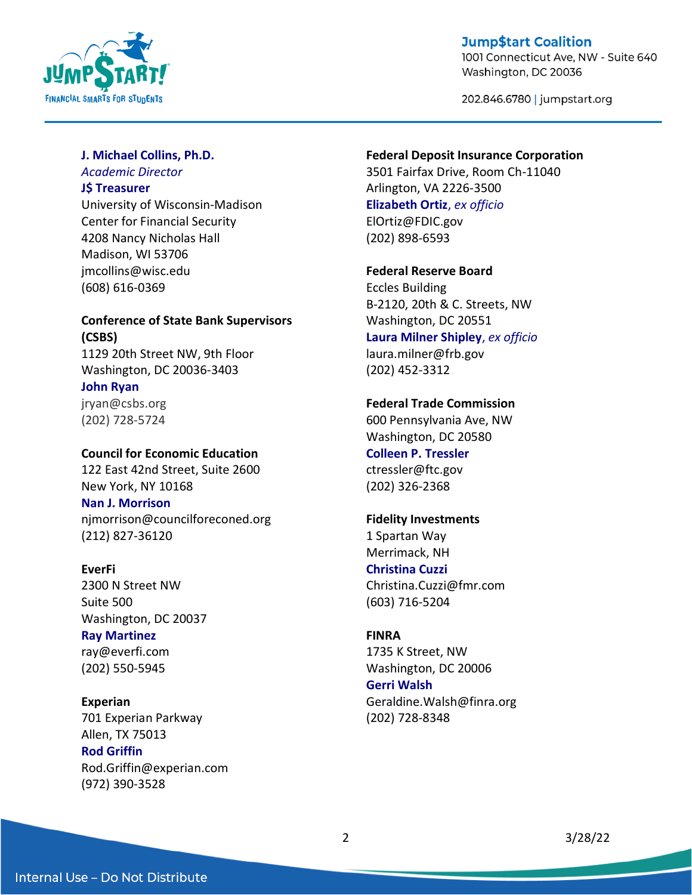

1001 Connecticut Ave, NW - Suite 640 Washington, DC 20036

202.846.6780 | jumpstart.org

## **J. Michael Collins, Ph.D.**

*Academic Director* 

## **J\$ Treasurer**

University of Wisconsin-Madison Center for Financial Security 4208 Nancy Nicholas Hall Madison, WI 53706 jmcollins@wisc.edu (608) 616-0369

# **Conference of State Bank Supervisors (CSBS)**

1129 20th Street NW, 9th Floor Washington, DC 20036-3403

**John Ryan** jryan@csbs.org (202) 728-5724

## **Council for Economic Education**

122 East 42nd Street, Suite 2600 New York, NY 10168

## **Nan J. Morrison**

njmorrison@councilforeconed.org (212) 827-36120

## **EverFi**

2300 N Street NW Suite 500 Washington, DC 20037 **Ray Martinez** ray@everfi.com

(202) 550-5945

## **Experian**

701 Experian Parkway Allen, TX 75013 **Rod Griffin** Rod.Griffin@experian.com (972) 390-3528

#### **Federal Deposit Insurance Corporation**

3501 Fairfax Drive, Room Ch-11040 Arlington, VA 2226-3500 **Elizabeth Ortiz**, *ex officio* ElOrtiz@FDIC.gov (202) 898-6593

#### **Federal Reserve Board**

Eccles Building B-2120, 20th & C. Streets, NW Washington, DC 20551 **Laura Milner Shipley**, *ex officio*

laura.milner@frb.gov (202) 452-3312

## **Federal Trade Commission**

600 Pennsylvania Ave, NW Washington, DC 20580 **Colleen P. Tressler** ctressler@ftc.gov (202) 326-2368

## **Fidelity Investments**

1 Spartan Way Merrimack, NH **Christina Cuzzi** Christina.Cuzzi@fmr.com (603) 716-5204

## **FINRA**

1735 K Street, NW Washington, DC 20006 **Gerri Walsh** Geraldine.Walsh@finra.org (202) 728-8348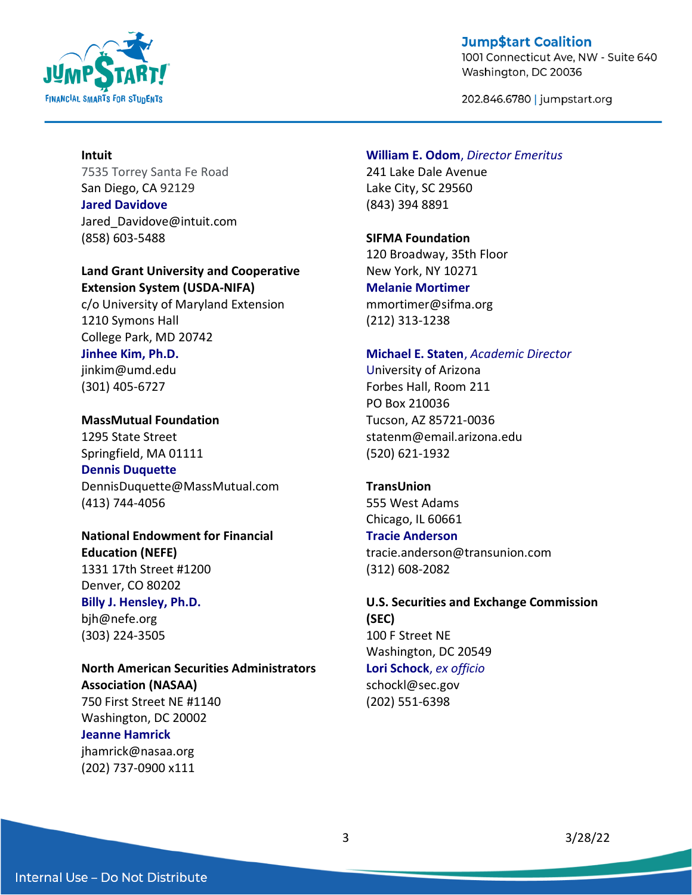

1001 Connecticut Ave, NW - Suite 640 Washington, DC 20036

202.846.6780 | jumpstart.org

## **Intuit**

7535 Torrey Santa Fe Road San Diego, CA 92129

**Jared Davidove** Jared Davidove@intuit.com (858) 603-5488

## **Land Grant University and Cooperative Extension System (USDA-NIFA)**

c/o University of Maryland Extension 1210 Symons Hall College Park, MD 20742

## **Jinhee Kim, Ph.D.** jinkim@umd.edu (301) 405-6727

**MassMutual Foundation** 1295 State Street Springfield, MA 01111 **Dennis Duquette**

DennisDuquette@MassMutual.com (413) 744-4056

**National Endowment for Financial Education (NEFE)** 1331 17th Street #1200 Denver, CO 80202 **Billy J. Hensley, Ph.D.**

bjh@nefe.org (303) 224-3505

**North American Securities Administrators Association (NASAA)** 750 First Street NE #1140 Washington, DC 20002 **Jeanne Hamrick**

jhamrick@nasaa.org (202) 737-0900 x111

## **William E. Odom**, *Director Emeritus*

241 Lake Dale Avenue Lake City, SC 29560 (843) 394 8891

#### **SIFMA Foundation**

120 Broadway, 35th Floor New York, NY 10271 **Melanie Mortimer** mmortimer@sifma.org (212) 313-1238

#### **Michael E. Staten**, *Academic Director*

University of Arizona Forbes Hall, Room 211 PO Box 210036 Tucson, AZ 85721-0036 statenm@email.arizona.edu (520) 621-1932

**TransUnion** 555 West Adams Chicago, IL 60661

## **Tracie Anderson**

tracie.anderson@transunion.com (312) 608-2082

**U.S. Securities and Exchange Commission (SEC)** 100 F Street NE Washington, DC 20549 **Lori Schock**, *ex officio* schockl@sec.gov (202) 551-6398